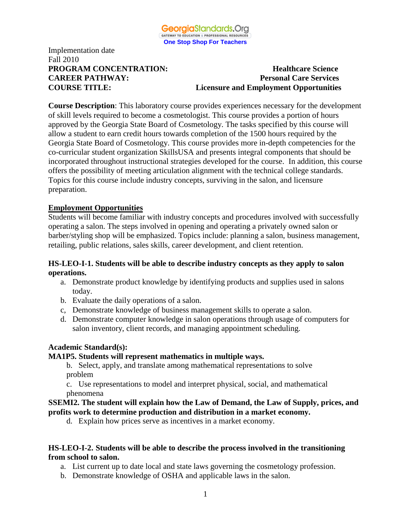

#### **PROGRAM CONCENTRATION:** Healthcare Science **CAREER PATHWAY: Personal Care Services COURSE TITLE: Licensure and Employment Opportunities**

**Course Description**: This laboratory course provides experiences necessary for the development of skill levels required to become a cosmetologist. This course provides a portion of hours approved by the Georgia State Board of Cosmetology. The tasks specified by this course will allow a student to earn credit hours towards completion of the 1500 hours required by the Georgia State Board of Cosmetology. This course provides more in-depth competencies for the co-curricular student organization SkillsUSA and presents integral components that should be incorporated throughout instructional strategies developed for the course. In addition, this course offers the possibility of meeting articulation alignment with the technical college standards. Topics for this course include industry concepts, surviving in the salon, and licensure preparation.

### **Employment Opportunities**

Students will become familiar with industry concepts and procedures involved with successfully operating a salon. The steps involved in opening and operating a privately owned salon or barber/styling shop will be emphasized. Topics include: planning a salon, business management, retailing, public relations, sales skills, career development, and client retention.

### **HS-LEO-I-1. Students will be able to describe industry concepts as they apply to salon operations.**

- a. Demonstrate product knowledge by identifying products and supplies used in salons today.
- b. Evaluate the daily operations of a salon.
- c, Demonstrate knowledge of business management skills to operate a salon.
- d. Demonstrate computer knowledge in salon operations through usage of computers for salon inventory, client records, and managing appointment scheduling.

#### **Academic Standard(s):**

#### **MA1P5. Students will represent mathematics in multiple ways.**

b. Select, apply, and translate among mathematical representations to solve problem

 c. Use representations to model and interpret physical, social, and mathematical phenomena

#### **SSEMI2. The student will explain how the Law of Demand, the Law of Supply, prices, and profits work to determine production and distribution in a market economy.**

d. Explain how prices serve as incentives in a market economy.

### **HS-LEO-I-2. Students will be able to describe the process involved in the transitioning from school to salon.**

- a. List current up to date local and state laws governing the cosmetology profession.
- b. Demonstrate knowledge of OSHA and applicable laws in the salon.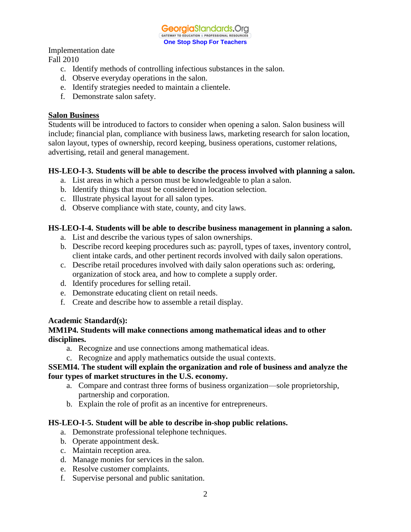GeorgiaStandards.Org GATEWAY TO EDUCATION & PROFESSIONAL RESOURCE **One Stop Shop For Teachers**

Implementation date

Fall 2010

- c. Identify methods of controlling infectious substances in the salon.
- d. Observe everyday operations in the salon.
- e. Identify strategies needed to maintain a clientele.
- f. Demonstrate salon safety.

## **Salon Business**

Students will be introduced to factors to consider when opening a salon. Salon business will include; financial plan, compliance with business laws, marketing research for salon location, salon layout, types of ownership, record keeping, business operations, customer relations, advertising, retail and general management.

## **HS-LEO-I-3. Students will be able to describe the process involved with planning a salon.**

- a. List areas in which a person must be knowledgeable to plan a salon.
- b. Identify things that must be considered in location selection.
- c. Illustrate physical layout for all salon types.
- d. Observe compliance with state, county, and city laws.

## **HS-LEO-I-4. Students will be able to describe business management in planning a salon.**

- a. List and describe the various types of salon ownerships.
- b. Describe record keeping procedures such as: payroll, types of taxes, inventory control, client intake cards, and other pertinent records involved with daily salon operations.
- c. Describe retail procedures involved with daily salon operations such as: ordering, organization of stock area, and how to complete a supply order.
- d. Identify procedures for selling retail.
- e. Demonstrate educating client on retail needs.
- f. Create and describe how to assemble a retail display.

# **Academic Standard(s):**

### **MM1P4. Students will make connections among mathematical ideas and to other disciplines.**

- a. Recognize and use connections among mathematical ideas.
- c. Recognize and apply mathematics outside the usual contexts.

## **SSEMI4. The student will explain the organization and role of business and analyze the four types of market structures in the U.S. economy.**

- a. Compare and contrast three forms of business organization—sole proprietorship, partnership and corporation.
- b. Explain the role of profit as an incentive for entrepreneurs.

# **HS-LEO-I-5. Student will be able to describe in-shop public relations.**

- a. Demonstrate professional telephone techniques.
- b. Operate appointment desk.
- c. Maintain reception area.
- d. Manage monies for services in the salon.
- e. Resolve customer complaints.
- f. Supervise personal and public sanitation.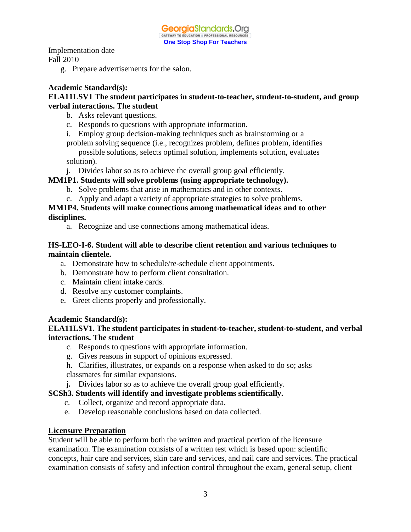g. Prepare advertisements for the salon.

## **Academic Standard(s):**

### **ELA11LSV1 The student participates in student-to-teacher, student-to-student, and group verbal interactions. The student**

- b. Asks relevant questions.
- c. Responds to questions with appropriate information.
- i. Employ group decision-making techniques such as brainstorming or a

problem solving sequence (i.e., recognizes problem, defines problem, identifies possible solutions, selects optimal solution, implements solution, evaluates

solution).

j. Divides labor so as to achieve the overall group goal efficiently.

## **MM1P1. Students will solve problems (using appropriate technology).**

- b. Solve problems that arise in mathematics and in other contexts.
- c. Apply and adapt a variety of appropriate strategies to solve problems.

## **MM1P4. Students will make connections among mathematical ideas and to other disciplines.**

a. Recognize and use connections among mathematical ideas.

### **HS-LEO-I-6. Student will able to describe client retention and various techniques to maintain clientele.**

- a. Demonstrate how to schedule/re-schedule client appointments.
- b. Demonstrate how to perform client consultation.
- c. Maintain client intake cards.
- d. Resolve any customer complaints.
- e. Greet clients properly and professionally.

## **Academic Standard(s):**

## **ELA11LSV1. The student participates in student-to-teacher, student-to-student, and verbal interactions. The student**

- c. Responds to questions with appropriate information.
- g. Gives reasons in support of opinions expressed.
- h. Clarifies, illustrates, or expands on a response when asked to do so; asks
- classmates for similar expansions.
- j**.** Divides labor so as to achieve the overall group goal efficiently.

## **SCSh3. Students will identify and investigate problems scientifically.**

- c. Collect, organize and record appropriate data.
- e. Develop reasonable conclusions based on data collected.

## **Licensure Preparation**

Student will be able to perform both the written and practical portion of the licensure examination. The examination consists of a written test which is based upon: scientific concepts, hair care and services, skin care and services, and nail care and services. The practical examination consists of safety and infection control throughout the exam, general setup, client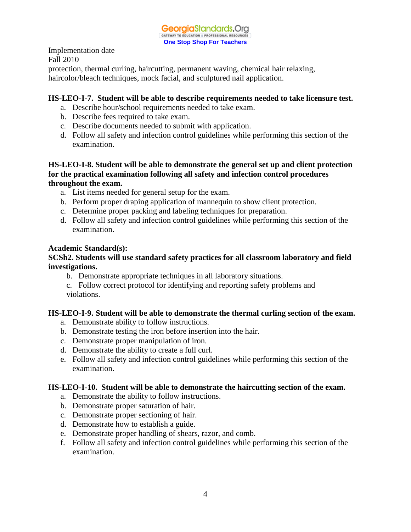

protection, thermal curling, haircutting, permanent waving, chemical hair relaxing, haircolor/bleach techniques, mock facial, and sculptured nail application.

## **HS-LEO-I-7. Student will be able to describe requirements needed to take licensure test.**

- a. Describe hour/school requirements needed to take exam.
- b. Describe fees required to take exam.
- c. Describe documents needed to submit with application.
- d. Follow all safety and infection control guidelines while performing this section of the examination.

#### **HS-LEO-I-8. Student will be able to demonstrate the general set up and client protection for the practical examination following all safety and infection control procedures throughout the exam.**

- a. List items needed for general setup for the exam.
- b. Perform proper draping application of mannequin to show client protection.
- c. Determine proper packing and labeling techniques for preparation.
- d. Follow all safety and infection control guidelines while performing this section of the examination.

#### **Academic Standard(s):**

#### **SCSh2. Students will use standard safety practices for all classroom laboratory and field investigations.**

- b. Demonstrate appropriate techniques in all laboratory situations.
- c. Follow correct protocol for identifying and reporting safety problems and violations.

#### **HS-LEO-I-9. Student will be able to demonstrate the thermal curling section of the exam.**

- a. Demonstrate ability to follow instructions.
- b. Demonstrate testing the iron before insertion into the hair.
- c. Demonstrate proper manipulation of iron.
- d. Demonstrate the ability to create a full curl.
- e. Follow all safety and infection control guidelines while performing this section of the examination.

#### **HS-LEO-I-10. Student will be able to demonstrate the haircutting section of the exam.**

- a. Demonstrate the ability to follow instructions.
- b. Demonstrate proper saturation of hair.
- c. Demonstrate proper sectioning of hair.
- d. Demonstrate how to establish a guide.
- e. Demonstrate proper handling of shears, razor, and comb.
- f. Follow all safety and infection control guidelines while performing this section of the examination.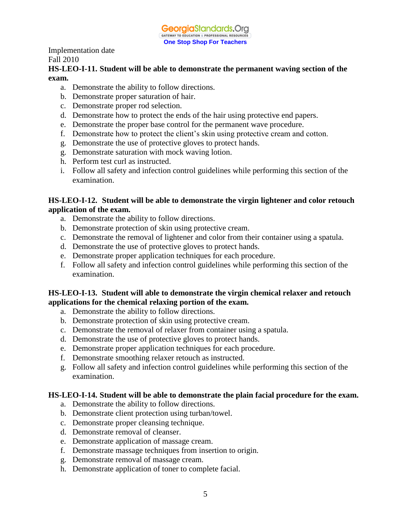

### **HS-LEO-I-11. Student will be able to demonstrate the permanent waving section of the exam.**

- a. Demonstrate the ability to follow directions.
- b. Demonstrate proper saturation of hair.
- c. Demonstrate proper rod selection.
- d. Demonstrate how to protect the ends of the hair using protective end papers.
- e. Demonstrate the proper base control for the permanent wave procedure.
- f. Demonstrate how to protect the client's skin using protective cream and cotton.
- g. Demonstrate the use of protective gloves to protect hands.
- g. Demonstrate saturation with mock waving lotion.
- h. Perform test curl as instructed.
- i. Follow all safety and infection control guidelines while performing this section of the examination.

## **HS-LEO-I-12. Student will be able to demonstrate the virgin lightener and color retouch application of the exam.**

- a. Demonstrate the ability to follow directions.
- b. Demonstrate protection of skin using protective cream.
- c. Demonstrate the removal of lightener and color from their container using a spatula.
- d. Demonstrate the use of protective gloves to protect hands.
- e. Demonstrate proper application techniques for each procedure.
- f. Follow all safety and infection control guidelines while performing this section of the examination.

## **HS-LEO-I-13. Student will able to demonstrate the virgin chemical relaxer and retouch applications for the chemical relaxing portion of the exam.**

- a. Demonstrate the ability to follow directions.
- b. Demonstrate protection of skin using protective cream.
- c. Demonstrate the removal of relaxer from container using a spatula.
- d. Demonstrate the use of protective gloves to protect hands.
- e. Demonstrate proper application techniques for each procedure.
- f. Demonstrate smoothing relaxer retouch as instructed.
- g. Follow all safety and infection control guidelines while performing this section of the examination.

## **HS-LEO-I-14. Student will be able to demonstrate the plain facial procedure for the exam.**

- a. Demonstrate the ability to follow directions.
- b. Demonstrate client protection using turban/towel.
- c. Demonstrate proper cleansing technique.
- d. Demonstrate removal of cleanser.
- e. Demonstrate application of massage cream.
- f. Demonstrate massage techniques from insertion to origin.
- g. Demonstrate removal of massage cream.
- h. Demonstrate application of toner to complete facial.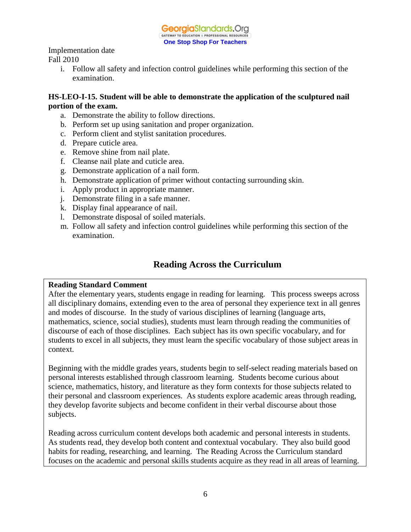

> i. Follow all safety and infection control guidelines while performing this section of the examination.

## **HS-LEO-I-15. Student will be able to demonstrate the application of the sculptured nail portion of the exam.**

- a. Demonstrate the ability to follow directions.
- b. Perform set up using sanitation and proper organization.
- c. Perform client and stylist sanitation procedures.
- d. Prepare cuticle area.
- e. Remove shine from nail plate.
- f. Cleanse nail plate and cuticle area.
- g. Demonstrate application of a nail form.
- h. Demonstrate application of primer without contacting surrounding skin.
- i. Apply product in appropriate manner.
- j. Demonstrate filing in a safe manner.
- k. Display final appearance of nail.
- l. Demonstrate disposal of soiled materials.
- m. Follow all safety and infection control guidelines while performing this section of the examination.

# **Reading Across the Curriculum**

#### **Reading Standard Comment**

After the elementary years, students engage in reading for learning. This process sweeps across all disciplinary domains, extending even to the area of personal they experience text in all genres and modes of discourse. In the study of various disciplines of learning (language arts, mathematics, science, social studies), students must learn through reading the communities of discourse of each of those disciplines. Each subject has its own specific vocabulary, and for students to excel in all subjects, they must learn the specific vocabulary of those subject areas in context.

Beginning with the middle grades years, students begin to self-select reading materials based on personal interests established through classroom learning. Students become curious about science, mathematics, history, and literature as they form contexts for those subjects related to their personal and classroom experiences. As students explore academic areas through reading, they develop favorite subjects and become confident in their verbal discourse about those subjects.

Reading across curriculum content develops both academic and personal interests in students. As students read, they develop both content and contextual vocabulary. They also build good habits for reading, researching, and learning. The Reading Across the Curriculum standard focuses on the academic and personal skills students acquire as they read in all areas of learning.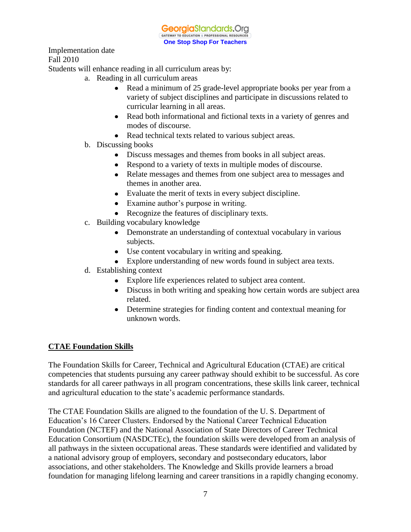Students will enhance reading in all curriculum areas by:

- a. Reading in all curriculum areas
	- Read a minimum of 25 grade-level appropriate books per year from a variety of subject disciplines and participate in discussions related to curricular learning in all areas.
	- Read both informational and fictional texts in a variety of genres and modes of discourse.
	- Read technical texts related to various subject areas.
- b. Discussing books
	- Discuss messages and themes from books in all subject areas.
	- Respond to a variety of texts in multiple modes of discourse.
	- Relate messages and themes from one subject area to messages and themes in another area.
	- Evaluate the merit of texts in every subject discipline.
	- Examine author's purpose in writing.
	- Recognize the features of disciplinary texts.
- c. Building vocabulary knowledge
	- Demonstrate an understanding of contextual vocabulary in various subjects.
	- Use content vocabulary in writing and speaking.
	- Explore understanding of new words found in subject area texts.
- d. Establishing context
	- Explore life experiences related to subject area content.
	- Discuss in both writing and speaking how certain words are subject area related.
	- Determine strategies for finding content and contextual meaning for unknown words.

## **CTAE Foundation Skills**

The Foundation Skills for Career, Technical and Agricultural Education (CTAE) are critical competencies that students pursuing any career pathway should exhibit to be successful. As core standards for all career pathways in all program concentrations, these skills link career, technical and agricultural education to the state's academic performance standards.

The CTAE Foundation Skills are aligned to the foundation of the U. S. Department of Education's 16 Career Clusters. Endorsed by the National Career Technical Education Foundation (NCTEF) and the National Association of State Directors of Career Technical Education Consortium (NASDCTEc), the foundation skills were developed from an analysis of all pathways in the sixteen occupational areas. These standards were identified and validated by a national advisory group of employers, secondary and postsecondary educators, labor associations, and other stakeholders. The Knowledge and Skills provide learners a broad foundation for managing lifelong learning and career transitions in a rapidly changing economy.